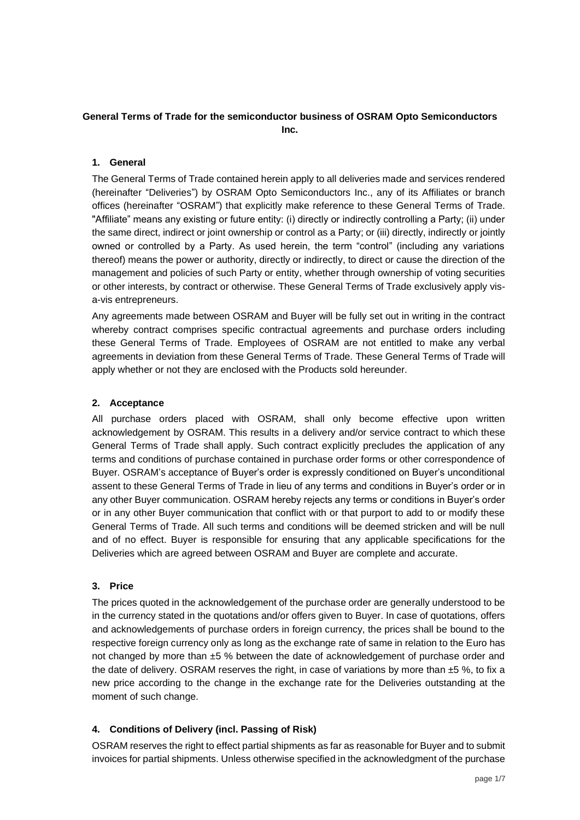#### **General Terms of Trade for the semiconductor business of OSRAM Opto Semiconductors Inc.**

### **1. General**

The General Terms of Trade contained herein apply to all deliveries made and services rendered (hereinafter "Deliveries") by OSRAM Opto Semiconductors Inc., any of its Affiliates or branch offices (hereinafter "OSRAM") that explicitly make reference to these General Terms of Trade. "Affiliate" means any existing or future entity: (i) directly or indirectly controlling a Party; (ii) under the same direct, indirect or joint ownership or control as a Party; or (iii) directly, indirectly or jointly owned or controlled by a Party. As used herein, the term "control" (including any variations thereof) means the power or authority, directly or indirectly, to direct or cause the direction of the management and policies of such Party or entity, whether through ownership of voting securities or other interests, by contract or otherwise. These General Terms of Trade exclusively apply visa-vis entrepreneurs.

Any agreements made between OSRAM and Buyer will be fully set out in writing in the contract whereby contract comprises specific contractual agreements and purchase orders including these General Terms of Trade. Employees of OSRAM are not entitled to make any verbal agreements in deviation from these General Terms of Trade. These General Terms of Trade will apply whether or not they are enclosed with the Products sold hereunder.

## **2. Acceptance**

All purchase orders placed with OSRAM, shall only become effective upon written acknowledgement by OSRAM. This results in a delivery and/or service contract to which these General Terms of Trade shall apply. Such contract explicitly precludes the application of any terms and conditions of purchase contained in purchase order forms or other correspondence of Buyer. OSRAM's acceptance of Buyer's order is expressly conditioned on Buyer's unconditional assent to these General Terms of Trade in lieu of any terms and conditions in Buyer's order or in any other Buyer communication. OSRAM hereby rejects any terms or conditions in Buyer's order or in any other Buyer communication that conflict with or that purport to add to or modify these General Terms of Trade. All such terms and conditions will be deemed stricken and will be null and of no effect. Buyer is responsible for ensuring that any applicable specifications for the Deliveries which are agreed between OSRAM and Buyer are complete and accurate.

#### **3. Price**

The prices quoted in the acknowledgement of the purchase order are generally understood to be in the currency stated in the quotations and/or offers given to Buyer. In case of quotations, offers and acknowledgements of purchase orders in foreign currency, the prices shall be bound to the respective foreign currency only as long as the exchange rate of same in relation to the Euro has not changed by more than ±5 % between the date of acknowledgement of purchase order and the date of delivery. OSRAM reserves the right, in case of variations by more than  $±5$  %, to fix a new price according to the change in the exchange rate for the Deliveries outstanding at the moment of such change.

# **4. Conditions of Delivery (incl. Passing of Risk)**

OSRAM reserves the right to effect partial shipments as far as reasonable for Buyer and to submit invoices for partial shipments. Unless otherwise specified in the acknowledgment of the purchase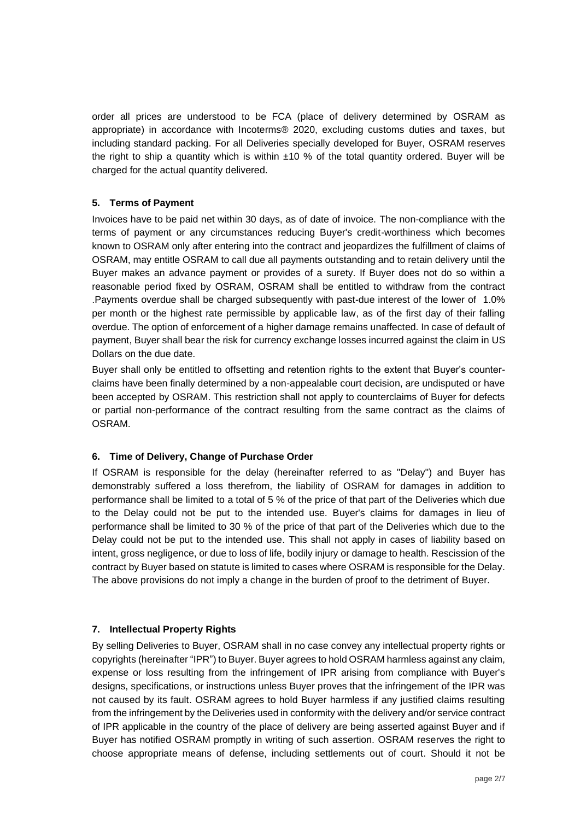order all prices are understood to be FCA (place of delivery determined by OSRAM as appropriate) in accordance with Incoterms® 2020, excluding customs duties and taxes, but including standard packing. For all Deliveries specially developed for Buyer, OSRAM reserves the right to ship a quantity which is within  $\pm 10$  % of the total quantity ordered. Buyer will be charged for the actual quantity delivered.

## **5. Terms of Payment**

Invoices have to be paid net within 30 days, as of date of invoice. The non-compliance with the terms of payment or any circumstances reducing Buyer's credit-worthiness which becomes known to OSRAM only after entering into the contract and jeopardizes the fulfillment of claims of OSRAM, may entitle OSRAM to call due all payments outstanding and to retain delivery until the Buyer makes an advance payment or provides of a surety. If Buyer does not do so within a reasonable period fixed by OSRAM, OSRAM shall be entitled to withdraw from the contract .Payments overdue shall be charged subsequently with past-due interest of the lower of 1.0% per month or the highest rate permissible by applicable law, as of the first day of their falling overdue. The option of enforcement of a higher damage remains unaffected. In case of default of payment, Buyer shall bear the risk for currency exchange losses incurred against the claim in US Dollars on the due date.

Buyer shall only be entitled to offsetting and retention rights to the extent that Buyer's counterclaims have been finally determined by a non-appealable court decision, are undisputed or have been accepted by OSRAM. This restriction shall not apply to counterclaims of Buyer for defects or partial non-performance of the contract resulting from the same contract as the claims of OSRAM.

#### **6. Time of Delivery, Change of Purchase Order**

If OSRAM is responsible for the delay (hereinafter referred to as "Delay") and Buyer has demonstrably suffered a loss therefrom, the liability of OSRAM for damages in addition to performance shall be limited to a total of 5 % of the price of that part of the Deliveries which due to the Delay could not be put to the intended use. Buyer's claims for damages in lieu of performance shall be limited to 30 % of the price of that part of the Deliveries which due to the Delay could not be put to the intended use. This shall not apply in cases of liability based on intent, gross negligence, or due to loss of life, bodily injury or damage to health. Rescission of the contract by Buyer based on statute is limited to cases where OSRAM is responsible for the Delay. The above provisions do not imply a change in the burden of proof to the detriment of Buyer.

# **7. Intellectual Property Rights**

By selling Deliveries to Buyer, OSRAM shall in no case convey any intellectual property rights or copyrights (hereinafter "IPR") to Buyer. Buyer agrees to hold OSRAM harmless against any claim, expense or loss resulting from the infringement of IPR arising from compliance with Buyer's designs, specifications, or instructions unless Buyer proves that the infringement of the IPR was not caused by its fault. OSRAM agrees to hold Buyer harmless if any justified claims resulting from the infringement by the Deliveries used in conformity with the delivery and/or service contract of IPR applicable in the country of the place of delivery are being asserted against Buyer and if Buyer has notified OSRAM promptly in writing of such assertion. OSRAM reserves the right to choose appropriate means of defense, including settlements out of court. Should it not be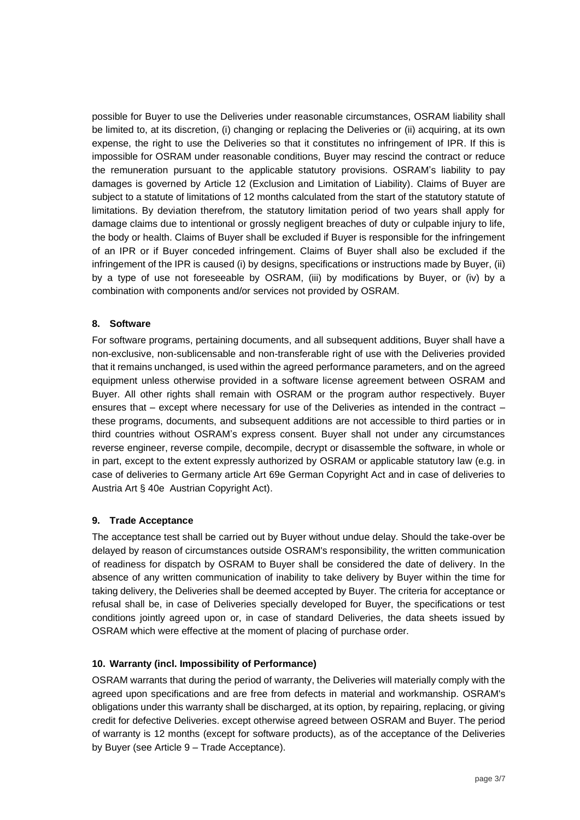possible for Buyer to use the Deliveries under reasonable circumstances, OSRAM liability shall be limited to, at its discretion, (i) changing or replacing the Deliveries or (ii) acquiring, at its own expense, the right to use the Deliveries so that it constitutes no infringement of IPR. If this is impossible for OSRAM under reasonable conditions, Buyer may rescind the contract or reduce the remuneration pursuant to the applicable statutory provisions. OSRAM's liability to pay damages is governed by Article [12](#page-4-0) (Exclusion and Limitation of Liability). Claims of Buyer are subject to a statute of limitations of 12 months calculated from the start of the statutory statute of limitations. By deviation therefrom, the statutory limitation period of two years shall apply for damage claims due to intentional or grossly negligent breaches of duty or culpable injury to life, the body or health. Claims of Buyer shall be excluded if Buyer is responsible for the infringement of an IPR or if Buyer conceded infringement. Claims of Buyer shall also be excluded if the infringement of the IPR is caused (i) by designs, specifications or instructions made by Buyer, (ii) by a type of use not foreseeable by OSRAM, (iii) by modifications by Buyer, or (iv) by a combination with components and/or services not provided by OSRAM.

## **8. Software**

For software programs, pertaining documents, and all subsequent additions, Buyer shall have a non-exclusive, non-sublicensable and non-transferable right of use with the Deliveries provided that it remains unchanged, is used within the agreed performance parameters, and on the agreed equipment unless otherwise provided in a software license agreement between OSRAM and Buyer. All other rights shall remain with OSRAM or the program author respectively. Buyer ensures that – except where necessary for use of the Deliveries as intended in the contract – these programs, documents, and subsequent additions are not accessible to third parties or in third countries without OSRAM's express consent. Buyer shall not under any circumstances reverse engineer, reverse compile, decompile, decrypt or disassemble the software, in whole or in part, except to the extent expressly authorized by OSRAM or applicable statutory law (e.g. in case of deliveries to Germany article Art 69e German Copyright Act and in case of deliveries to Austria Art § 40e Austrian Copyright Act).

#### <span id="page-2-0"></span>**9. Trade Acceptance**

The acceptance test shall be carried out by Buyer without undue delay. Should the take-over be delayed by reason of circumstances outside OSRAM's responsibility, the written communication of readiness for dispatch by OSRAM to Buyer shall be considered the date of delivery. In the absence of any written communication of inability to take delivery by Buyer within the time for taking delivery, the Deliveries shall be deemed accepted by Buyer. The criteria for acceptance or refusal shall be, in case of Deliveries specially developed for Buyer, the specifications or test conditions jointly agreed upon or, in case of standard Deliveries, the data sheets issued by OSRAM which were effective at the moment of placing of purchase order.

# **10. Warranty (incl. Impossibility of Performance)**

OSRAM warrants that during the period of warranty, the Deliveries will materially comply with the agreed upon specifications and are free from defects in material and workmanship. OSRAM's obligations under this warranty shall be discharged, at its option, by repairing, replacing, or giving credit for defective Deliveries. except otherwise agreed between OSRAM and Buyer. The period of warranty is 12 months (except for software products), as of the acceptance of the Deliveries by Buyer (see Article [9](#page-2-0) – Trade Acceptance).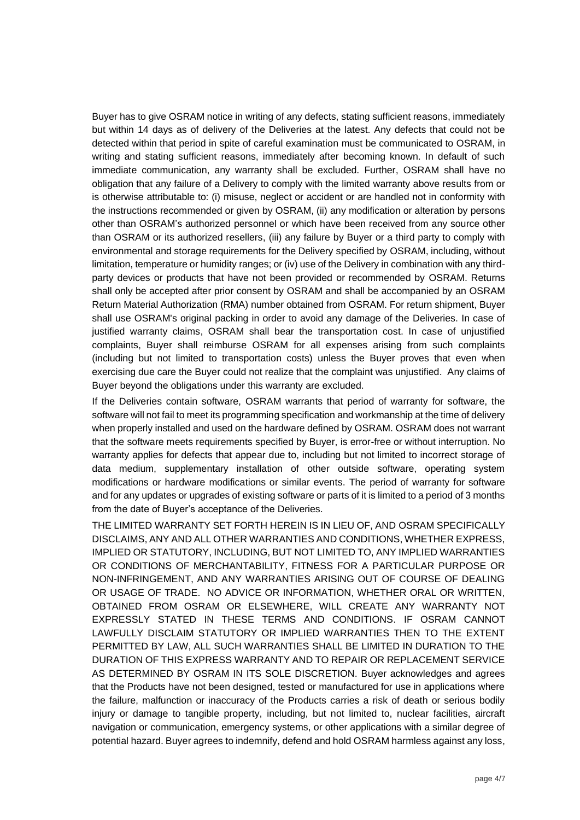Buyer has to give OSRAM notice in writing of any defects, stating sufficient reasons, immediately but within 14 days as of delivery of the Deliveries at the latest. Any defects that could not be detected within that period in spite of careful examination must be communicated to OSRAM, in writing and stating sufficient reasons, immediately after becoming known. In default of such immediate communication, any warranty shall be excluded. Further, OSRAM shall have no obligation that any failure of a Delivery to comply with the limited warranty above results from or is otherwise attributable to: (i) misuse, neglect or accident or are handled not in conformity with the instructions recommended or given by OSRAM, (ii) any modification or alteration by persons other than OSRAM's authorized personnel or which have been received from any source other than OSRAM or its authorized resellers, (iii) any failure by Buyer or a third party to comply with environmental and storage requirements for the Delivery specified by OSRAM, including, without limitation, temperature or humidity ranges; or (iv) use of the Delivery in combination with any thirdparty devices or products that have not been provided or recommended by OSRAM. Returns shall only be accepted after prior consent by OSRAM and shall be accompanied by an OSRAM Return Material Authorization (RMA) number obtained from OSRAM. For return shipment, Buyer shall use OSRAM's original packing in order to avoid any damage of the Deliveries. In case of justified warranty claims, OSRAM shall bear the transportation cost. In case of unjustified complaints, Buyer shall reimburse OSRAM for all expenses arising from such complaints (including but not limited to transportation costs) unless the Buyer proves that even when exercising due care the Buyer could not realize that the complaint was unjustified. Any claims of Buyer beyond the obligations under this warranty are excluded.

If the Deliveries contain software, OSRAM warrants that period of warranty for software, the software will not fail to meet its programming specification and workmanship at the time of delivery when properly installed and used on the hardware defined by OSRAM. OSRAM does not warrant that the software meets requirements specified by Buyer, is error-free or without interruption. No warranty applies for defects that appear due to, including but not limited to incorrect storage of data medium, supplementary installation of other outside software, operating system modifications or hardware modifications or similar events. The period of warranty for software and for any updates or upgrades of existing software or parts of it is limited to a period of 3 months from the date of Buyer's acceptance of the Deliveries.

THE LIMITED WARRANTY SET FORTH HEREIN IS IN LIEU OF, AND OSRAM SPECIFICALLY DISCLAIMS, ANY AND ALL OTHER WARRANTIES AND CONDITIONS, WHETHER EXPRESS, IMPLIED OR STATUTORY, INCLUDING, BUT NOT LIMITED TO, ANY IMPLIED WARRANTIES OR CONDITIONS OF MERCHANTABILITY, FITNESS FOR A PARTICULAR PURPOSE OR NON-INFRINGEMENT, AND ANY WARRANTIES ARISING OUT OF COURSE OF DEALING OR USAGE OF TRADE. NO ADVICE OR INFORMATION, WHETHER ORAL OR WRITTEN, OBTAINED FROM OSRAM OR ELSEWHERE, WILL CREATE ANY WARRANTY NOT EXPRESSLY STATED IN THESE TERMS AND CONDITIONS. IF OSRAM CANNOT LAWFULLY DISCLAIM STATUTORY OR IMPLIED WARRANTIES THEN TO THE EXTENT PERMITTED BY LAW, ALL SUCH WARRANTIES SHALL BE LIMITED IN DURATION TO THE DURATION OF THIS EXPRESS WARRANTY AND TO REPAIR OR REPLACEMENT SERVICE AS DETERMINED BY OSRAM IN ITS SOLE DISCRETION. Buyer acknowledges and agrees that the Products have not been designed, tested or manufactured for use in applications where the failure, malfunction or inaccuracy of the Products carries a risk of death or serious bodily injury or damage to tangible property, including, but not limited to, nuclear facilities, aircraft navigation or communication, emergency systems, or other applications with a similar degree of potential hazard. Buyer agrees to indemnify, defend and hold OSRAM harmless against any loss,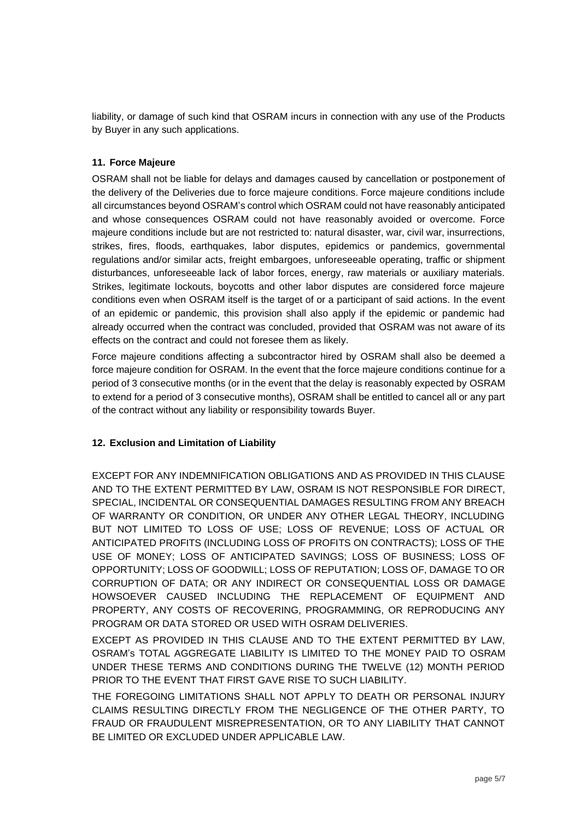liability, or damage of such kind that OSRAM incurs in connection with any use of the Products by Buyer in any such applications.

### **11. Force Majeure**

OSRAM shall not be liable for delays and damages caused by cancellation or postponement of the delivery of the Deliveries due to force majeure conditions. Force majeure conditions include all circumstances beyond OSRAM's control which OSRAM could not have reasonably anticipated and whose consequences OSRAM could not have reasonably avoided or overcome. Force majeure conditions include but are not restricted to: natural disaster, war, civil war, insurrections, strikes, fires, floods, earthquakes, labor disputes, epidemics or pandemics, governmental regulations and/or similar acts, freight embargoes, unforeseeable operating, traffic or shipment disturbances, unforeseeable lack of labor forces, energy, raw materials or auxiliary materials. Strikes, legitimate lockouts, boycotts and other labor disputes are considered force majeure conditions even when OSRAM itself is the target of or a participant of said actions. In the event of an epidemic or pandemic, this provision shall also apply if the epidemic or pandemic had already occurred when the contract was concluded, provided that OSRAM was not aware of its effects on the contract and could not foresee them as likely.

Force majeure conditions affecting a subcontractor hired by OSRAM shall also be deemed a force majeure condition for OSRAM. In the event that the force majeure conditions continue for a period of 3 consecutive months (or in the event that the delay is reasonably expected by OSRAM to extend for a period of 3 consecutive months), OSRAM shall be entitled to cancel all or any part of the contract without any liability or responsibility towards Buyer.

# <span id="page-4-0"></span>**12. Exclusion and Limitation of Liability**

EXCEPT FOR ANY INDEMNIFICATION OBLIGATIONS AND AS PROVIDED IN THIS CLAUSE AND TO THE EXTENT PERMITTED BY LAW, OSRAM IS NOT RESPONSIBLE FOR DIRECT, SPECIAL, INCIDENTAL OR CONSEQUENTIAL DAMAGES RESULTING FROM ANY BREACH OF WARRANTY OR CONDITION, OR UNDER ANY OTHER LEGAL THEORY, INCLUDING BUT NOT LIMITED TO LOSS OF USE; LOSS OF REVENUE; LOSS OF ACTUAL OR ANTICIPATED PROFITS (INCLUDING LOSS OF PROFITS ON CONTRACTS); LOSS OF THE USE OF MONEY; LOSS OF ANTICIPATED SAVINGS; LOSS OF BUSINESS; LOSS OF OPPORTUNITY; LOSS OF GOODWILL; LOSS OF REPUTATION; LOSS OF, DAMAGE TO OR CORRUPTION OF DATA; OR ANY INDIRECT OR CONSEQUENTIAL LOSS OR DAMAGE HOWSOEVER CAUSED INCLUDING THE REPLACEMENT OF EQUIPMENT AND PROPERTY, ANY COSTS OF RECOVERING, PROGRAMMING, OR REPRODUCING ANY PROGRAM OR DATA STORED OR USED WITH OSRAM DELIVERIES.

EXCEPT AS PROVIDED IN THIS CLAUSE AND TO THE EXTENT PERMITTED BY LAW, OSRAM's TOTAL AGGREGATE LIABILITY IS LIMITED TO THE MONEY PAID TO OSRAM UNDER THESE TERMS AND CONDITIONS DURING THE TWELVE (12) MONTH PERIOD PRIOR TO THE EVENT THAT FIRST GAVE RISE TO SUCH LIABILITY.

THE FOREGOING LIMITATIONS SHALL NOT APPLY TO DEATH OR PERSONAL INJURY CLAIMS RESULTING DIRECTLY FROM THE NEGLIGENCE OF THE OTHER PARTY, TO FRAUD OR FRAUDULENT MISREPRESENTATION, OR TO ANY LIABILITY THAT CANNOT BE LIMITED OR EXCLUDED UNDER APPLICABLE LAW.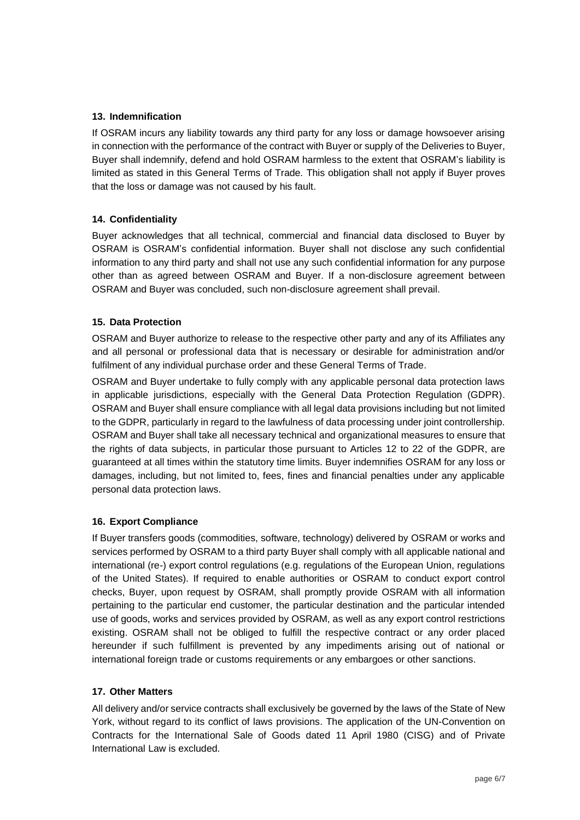## **13. Indemnification**

If OSRAM incurs any liability towards any third party for any loss or damage howsoever arising in connection with the performance of the contract with Buyer or supply of the Deliveries to Buyer, Buyer shall indemnify, defend and hold OSRAM harmless to the extent that OSRAM's liability is limited as stated in this General Terms of Trade. This obligation shall not apply if Buyer proves that the loss or damage was not caused by his fault.

# **14. Confidentiality**

Buyer acknowledges that all technical, commercial and financial data disclosed to Buyer by OSRAM is OSRAM's confidential information. Buyer shall not disclose any such confidential information to any third party and shall not use any such confidential information for any purpose other than as agreed between OSRAM and Buyer. If a non-disclosure agreement between OSRAM and Buyer was concluded, such non-disclosure agreement shall prevail.

## **15. Data Protection**

OSRAM and Buyer authorize to release to the respective other party and any of its Affiliates any and all personal or professional data that is necessary or desirable for administration and/or fulfilment of any individual purchase order and these General Terms of Trade.

OSRAM and Buyer undertake to fully comply with any applicable personal data protection laws in applicable jurisdictions, especially with the General Data Protection Regulation (GDPR). OSRAM and Buyer shall ensure compliance with all legal data provisions including but not limited to the GDPR, particularly in regard to the lawfulness of data processing under joint controllership. OSRAM and Buyer shall take all necessary technical and organizational measures to ensure that the rights of data subjects, in particular those pursuant to Articles 12 to 22 of the GDPR, are guaranteed at all times within the statutory time limits. Buyer indemnifies OSRAM for any loss or damages, including, but not limited to, fees, fines and financial penalties under any applicable personal data protection laws.

#### **16. Export Compliance**

If Buyer transfers goods (commodities, software, technology) delivered by OSRAM or works and services performed by OSRAM to a third party Buyer shall comply with all applicable national and international (re-) export control regulations (e.g. regulations of the European Union, regulations of the United States). If required to enable authorities or OSRAM to conduct export control checks, Buyer, upon request by OSRAM, shall promptly provide OSRAM with all information pertaining to the particular end customer, the particular destination and the particular intended use of goods, works and services provided by OSRAM, as well as any export control restrictions existing. OSRAM shall not be obliged to fulfill the respective contract or any order placed hereunder if such fulfillment is prevented by any impediments arising out of national or international foreign trade or customs requirements or any embargoes or other sanctions.

#### **17. Other Matters**

All delivery and/or service contracts shall exclusively be governed by the laws of the State of New York, without regard to its conflict of laws provisions. The application of the UN-Convention on Contracts for the International Sale of Goods dated 11 April 1980 (CISG) and of Private International Law is excluded.